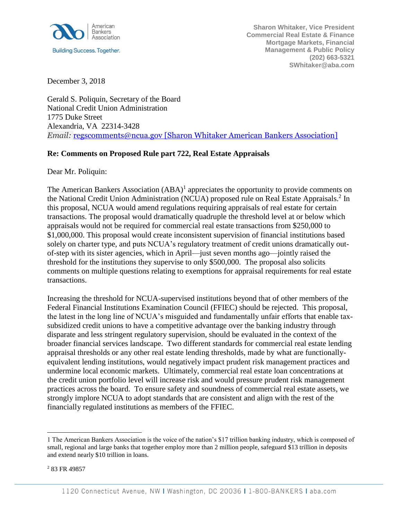

**Sharon Whitaker, Vice President Commercial Real Estate & Finance Mortgage Markets, Financial Management & Public Policy (202) 663-5321 SWhitaker@aba.com**

December 3, 2018

Gerald S. Poliquin, Secretary of the Board National Credit Union Administration 1775 Duke Street Alexandria, VA 22314-3428 *Email:* [regscomments@ncua.gov](mailto:regscomments@ncua.gov%20[Sharon%20Whitaker%20American%20Bankers%20Association]) [Sharon Whitaker American Bankers Association]

## **Re: Comments on Proposed Rule part 722, Real Estate Appraisals**

Dear Mr. Poliquin:

The American Bankers Association  $(ABA)^1$  appreciates the opportunity to provide comments on the National Credit Union Administration (NCUA) proposed rule on Real Estate Appraisals.<sup>2</sup> In this proposal, NCUA would amend regulations requiring appraisals of real estate for certain transactions. The proposal would dramatically quadruple the threshold level at or below which appraisals would not be required for commercial real estate transactions from \$250,000 to \$1,000,000. This proposal would create inconsistent supervision of financial institutions based solely on charter type, and puts NCUA's regulatory treatment of credit unions dramatically outof-step with its sister agencies, which in April—just seven months ago—jointly raised the threshold for the institutions they supervise to only \$500,000. The proposal also solicits comments on multiple questions relating to exemptions for appraisal requirements for real estate transactions.

Increasing the threshold for NCUA-supervised institutions beyond that of other members of the Federal Financial Institutions Examination Council (FFIEC) should be rejected. This proposal, the latest in the long line of NCUA's misguided and fundamentally unfair efforts that enable taxsubsidized credit unions to have a competitive advantage over the banking industry through disparate and less stringent regulatory supervision, should be evaluated in the context of the broader financial services landscape. Two different standards for commercial real estate lending appraisal thresholds or any other real estate lending thresholds, made by what are functionallyequivalent lending institutions, would negatively impact prudent risk management practices and undermine local economic markets. Ultimately, commercial real estate loan concentrations at the credit union portfolio level will increase risk and would pressure prudent risk management practices across the board. To ensure safety and soundness of commercial real estate assets, we strongly implore NCUA to adopt standards that are consistent and align with the rest of the financially regulated institutions as members of the FFIEC.

l

<sup>1</sup> The American Bankers Association is the voice of the nation's \$17 trillion banking industry, which is composed of small, regional and large banks that together employ more than 2 million people, safeguard \$13 trillion in deposits and extend nearly \$10 trillion in loans.

<sup>2</sup> 83 FR 49857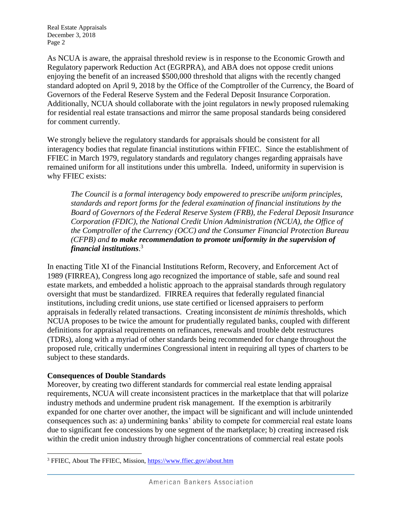Real Estate Appraisals December 3, 2018 Page 2

As NCUA is aware, the appraisal threshold review is in response to the Economic Growth and Regulatory paperwork Reduction Act (EGRPRA), and ABA does not oppose credit unions enjoying the benefit of an increased \$500,000 threshold that aligns with the recently changed standard adopted on April 9, 2018 by the Office of the Comptroller of the Currency, the Board of Governors of the Federal Reserve System and the Federal Deposit Insurance Corporation. Additionally, NCUA should collaborate with the joint regulators in newly proposed rulemaking for residential real estate transactions and mirror the same proposal standards being considered for comment currently.

We strongly believe the regulatory standards for appraisals should be consistent for all interagency bodies that regulate financial institutions within FFIEC. Since the establishment of FFIEC in March 1979, regulatory standards and regulatory changes regarding appraisals have remained uniform for all institutions under this umbrella. Indeed, uniformity in supervision is why FFIEC exists:

*The Council is a formal interagency body empowered to prescribe uniform principles, standards and report forms for the federal examination of financial institutions by the Board of Governors of the Federal Reserve System (FRB), the Federal Deposit Insurance Corporation (FDIC), the National Credit Union Administration (NCUA), the Office of the Comptroller of the Currency (OCC) and the Consumer Financial Protection Bureau (CFPB) and to make recommendation to promote uniformity in the supervision of financial institutions*. 3

In enacting Title XI of the Financial Institutions Reform, Recovery, and Enforcement Act of 1989 (FIRREA), Congress long ago recognized the importance of stable, safe and sound real estate markets, and embedded a holistic approach to the appraisal standards through regulatory oversight that must be standardized. FIRREA requires that federally regulated financial institutions, including credit unions, use state certified or licensed appraisers to perform appraisals in federally related transactions. Creating inconsistent *de minimis* thresholds, which NCUA proposes to be twice the amount for prudentially regulated banks, coupled with different definitions for appraisal requirements on refinances, renewals and trouble debt restructures (TDRs), along with a myriad of other standards being recommended for change throughout the proposed rule, critically undermines Congressional intent in requiring all types of charters to be subject to these standards.

## **Consequences of Double Standards**

Moreover, by creating two different standards for commercial real estate lending appraisal requirements, NCUA will create inconsistent practices in the marketplace that that will polarize industry methods and undermine prudent risk management. If the exemption is arbitrarily expanded for one charter over another, the impact will be significant and will include unintended consequences such as: a) undermining banks' ability to compete for commercial real estate loans due to significant fee concessions by one segment of the marketplace; b) creating increased risk within the credit union industry through higher concentrations of commercial real estate pools

l <sup>3</sup> FFIEC, About The FFIEC, Mission,<https://www.ffiec.gov/about.htm>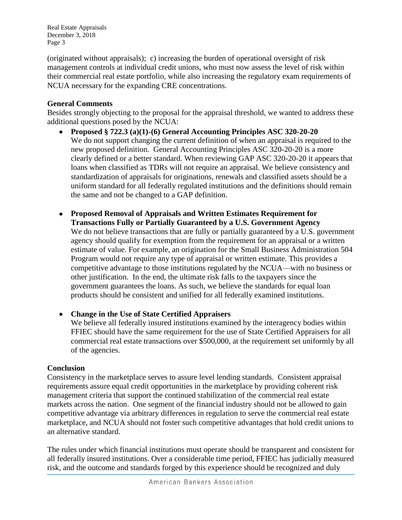Real Estate Appraisals December 3, 2018 Page 3

(originated without appraisals); c) increasing the burden of operational oversight of risk management controls at individual credit unions, who must now assess the level of risk within their commercial real estate portfolio, while also increasing the regulatory exam requirements of NCUA necessary for the expanding CRE concentrations.

## **General Comments**

Besides strongly objecting to the proposal for the appraisal threshold, we wanted to address these additional questions posed by the NCUA:

- **Proposed § 722.3 (a)(1)-(6) General Accounting Principles ASC 320-20-20** We do not support changing the current definition of when an appraisal is required to the new proposed definition. General Accounting Principles ASC 320-20-20 is a more clearly defined or a better standard. When reviewing GAP ASC 320-20-20 it appears that loans when classified as TDRs will not require an appraisal. We believe consistency and standardization of appraisals for originations, renewals and classified assets should be a uniform standard for all federally regulated institutions and the definitions should remain the same and not be changed to a GAP definition.
- **Proposed Removal of Appraisals and Written Estimates Requirement for Transactions Fully or Partially Guaranteed by a U.S. Government Agency**  We do not believe transactions that are fully or partially guaranteed by a U.S. government agency should qualify for exemption from the requirement for an appraisal or a written estimate of value. For example, an origination for the Small Business Administration 504 Program would not require any type of appraisal or written estimate. This provides a competitive advantage to those institutions regulated by the NCUA—with no business or other justification. In the end, the ultimate risk falls to the taxpayers since the government guarantees the loans. As such, we believe the standards for equal loan products should be consistent and unified for all federally examined institutions.

 **Change in the Use of State Certified Appraisers**  We believe all federally insured institutions examined by the interagency bodies within FFIEC should have the same requirement for the use of State Certified Appraisers for all commercial real estate transactions over \$500,000, at the requirement set uniformly by all of the agencies.

## **Conclusion**

Consistency in the marketplace serves to assure level lending standards. Consistent appraisal requirements assure equal credit opportunities in the marketplace by providing coherent risk management criteria that support the continued stabilization of the commercial real estate markets across the nation. One segment of the financial industry should not be allowed to gain competitive advantage via arbitrary differences in regulation to serve the commercial real estate marketplace, and NCUA should not foster such competitive advantages that hold credit unions to an alternative standard.

The rules under which financial institutions must operate should be transparent and consistent for all federally insured institutions. Over a considerable time period, FFIEC has judicially measured risk, and the outcome and standards forged by this experience should be recognized and duly